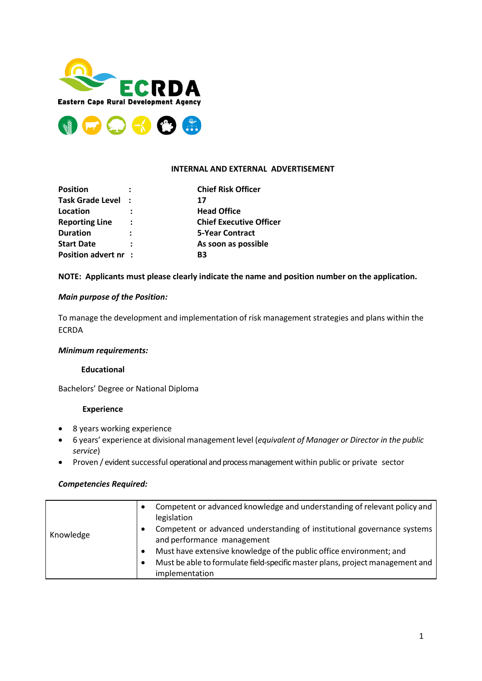



### **INTERNAL AND EXTERNAL ADVERTISEMENT**

| <b>Position</b>       |                      | <b>Chief Risk Officer</b>      |
|-----------------------|----------------------|--------------------------------|
| Task Grade Level :    |                      | 17                             |
| Location              |                      | <b>Head Office</b>             |
| <b>Reporting Line</b> | $\ddot{\phantom{a}}$ | <b>Chief Executive Officer</b> |
| <b>Duration</b>       | $\ddot{\phantom{a}}$ | <b>5-Year Contract</b>         |
| <b>Start Date</b>     |                      | As soon as possible            |
| Position advert nr :  |                      | B <sub>3</sub>                 |

## **NOTE: Applicants must please clearly indicate the name and position number on the application.**

#### *Main purpose of the Position:*

To manage the development and implementation of risk management strategies and plans within the ECRDA

#### *Minimum requirements:*

#### **Educational**

Bachelors' Degree or National Diploma

#### **Experience**

- 8 years working experience
- 6 years' experience at divisional managementlevel (*equivalent of Manager or Director in the public service*)
- Proven / evident successful operational and process management within public or private sector

#### *Competencies Required:*

|           | $\bullet$ | Competent or advanced knowledge and understanding of relevant policy and<br>legislation                 |
|-----------|-----------|---------------------------------------------------------------------------------------------------------|
| Knowledge | ٠         | Competent or advanced understanding of institutional governance systems  <br>and performance management |
|           | $\bullet$ | Must have extensive knowledge of the public office environment; and                                     |
|           | ٠         | Must be able to formulate field-specific master plans, project management and<br>implementation         |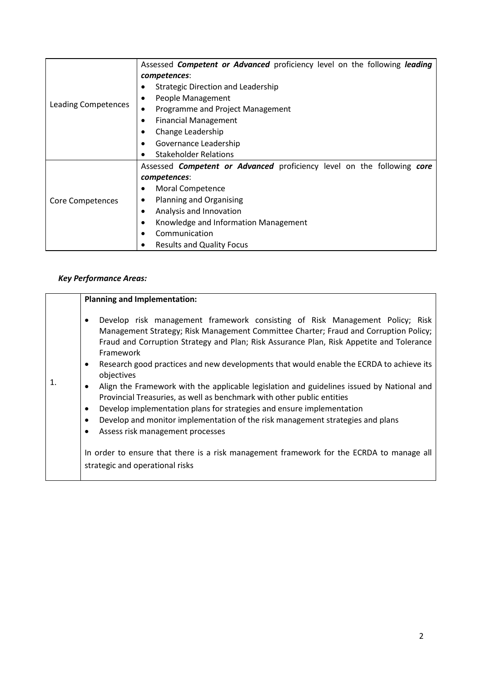|                            | Assessed Competent or Advanced proficiency level on the following leading |
|----------------------------|---------------------------------------------------------------------------|
|                            | competences:                                                              |
|                            | <b>Strategic Direction and Leadership</b>                                 |
|                            | People Management<br>٠                                                    |
| <b>Leading Competences</b> | Programme and Project Management<br>$\bullet$                             |
|                            | <b>Financial Management</b><br>$\bullet$                                  |
|                            | Change Leadership                                                         |
|                            | Governance Leadership                                                     |
|                            | <b>Stakeholder Relations</b>                                              |
|                            | Assessed Competent or Advanced proficiency level on the following core    |
|                            | competences:                                                              |
|                            | Moral Competence<br>$\bullet$                                             |
| Core Competences           | Planning and Organising<br>٠                                              |
|                            | Analysis and Innovation<br>٠                                              |
|                            | Knowledge and Information Management<br>٠                                 |
|                            | Communication<br>$\bullet$                                                |
|                            | <b>Results and Quality Focus</b>                                          |

# *Key Performance Areas:*

|                                            | <b>Planning and Implementation:</b>                                                                                                                                                                                                                                                                                                                                                                                                                                                                                                                                                                                                                                                                                                                                                                                                                                                         |
|--------------------------------------------|---------------------------------------------------------------------------------------------------------------------------------------------------------------------------------------------------------------------------------------------------------------------------------------------------------------------------------------------------------------------------------------------------------------------------------------------------------------------------------------------------------------------------------------------------------------------------------------------------------------------------------------------------------------------------------------------------------------------------------------------------------------------------------------------------------------------------------------------------------------------------------------------|
| ٠<br>٠<br>$\bullet$<br>٠<br>٠<br>$\bullet$ | Develop risk management framework consisting of Risk Management Policy; Risk<br>Management Strategy; Risk Management Committee Charter; Fraud and Corruption Policy;<br>Fraud and Corruption Strategy and Plan; Risk Assurance Plan, Risk Appetite and Tolerance<br>Framework<br>Research good practices and new developments that would enable the ECRDA to achieve its<br>objectives<br>Align the Framework with the applicable legislation and guidelines issued by National and<br>Provincial Treasuries, as well as benchmark with other public entities<br>Develop implementation plans for strategies and ensure implementation<br>Develop and monitor implementation of the risk management strategies and plans<br>Assess risk management processes<br>In order to ensure that there is a risk management framework for the ECRDA to manage all<br>strategic and operational risks |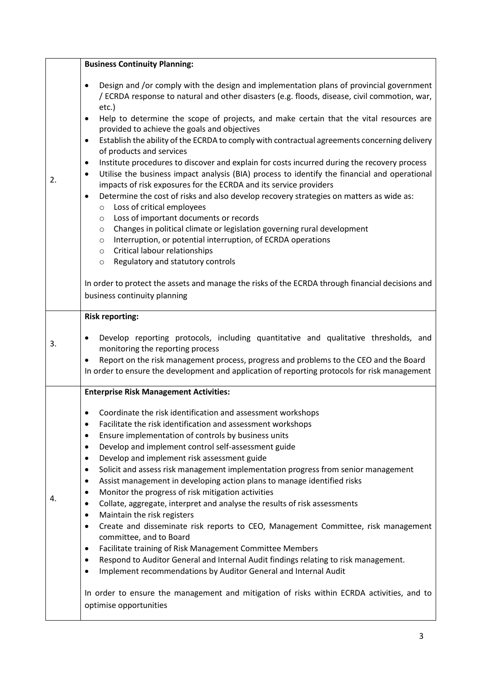|    | <b>Business Continuity Planning:</b>                                                                                                                                                                                                                                                                                                                                                                                                                                                                                                                                                                                                                                                                                                                                                                                                                                                                                                                                                                                                                                                                                                                                                                                                                                      |
|----|---------------------------------------------------------------------------------------------------------------------------------------------------------------------------------------------------------------------------------------------------------------------------------------------------------------------------------------------------------------------------------------------------------------------------------------------------------------------------------------------------------------------------------------------------------------------------------------------------------------------------------------------------------------------------------------------------------------------------------------------------------------------------------------------------------------------------------------------------------------------------------------------------------------------------------------------------------------------------------------------------------------------------------------------------------------------------------------------------------------------------------------------------------------------------------------------------------------------------------------------------------------------------|
| 2. | Design and /or comply with the design and implementation plans of provincial government<br>$\bullet$<br>/ ECRDA response to natural and other disasters (e.g. floods, disease, civil commotion, war,<br>$etc.$ )<br>Help to determine the scope of projects, and make certain that the vital resources are<br>٠<br>provided to achieve the goals and objectives<br>Establish the ability of the ECRDA to comply with contractual agreements concerning delivery<br>$\bullet$<br>of products and services<br>Institute procedures to discover and explain for costs incurred during the recovery process<br>$\bullet$<br>Utilise the business impact analysis (BIA) process to identify the financial and operational<br>$\bullet$<br>impacts of risk exposures for the ECRDA and its service providers<br>Determine the cost of risks and also develop recovery strategies on matters as wide as:<br>$\bullet$<br>Loss of critical employees<br>$\circ$<br>Loss of important documents or records<br>$\circ$<br>Changes in political climate or legislation governing rural development<br>$\circ$<br>Interruption, or potential interruption, of ECRDA operations<br>$\circ$<br>Critical labour relationships<br>$\circ$<br>Regulatory and statutory controls<br>$\circ$ |
|    | In order to protect the assets and manage the risks of the ECRDA through financial decisions and<br>business continuity planning                                                                                                                                                                                                                                                                                                                                                                                                                                                                                                                                                                                                                                                                                                                                                                                                                                                                                                                                                                                                                                                                                                                                          |
|    | <b>Risk reporting:</b>                                                                                                                                                                                                                                                                                                                                                                                                                                                                                                                                                                                                                                                                                                                                                                                                                                                                                                                                                                                                                                                                                                                                                                                                                                                    |
| 3. | Develop reporting protocols, including quantitative and qualitative thresholds, and<br>٠<br>monitoring the reporting process<br>Report on the risk management process, progress and problems to the CEO and the Board<br>$\bullet$<br>In order to ensure the development and application of reporting protocols for risk management                                                                                                                                                                                                                                                                                                                                                                                                                                                                                                                                                                                                                                                                                                                                                                                                                                                                                                                                       |
|    | <b>Enterprise Risk Management Activities:</b>                                                                                                                                                                                                                                                                                                                                                                                                                                                                                                                                                                                                                                                                                                                                                                                                                                                                                                                                                                                                                                                                                                                                                                                                                             |
| 4. | Coordinate the risk identification and assessment workshops<br>Facilitate the risk identification and assessment workshops<br>$\bullet$<br>Ensure implementation of controls by business units<br>Develop and implement control self-assessment guide<br>٠<br>Develop and implement risk assessment guide<br>٠<br>Solicit and assess risk management implementation progress from senior management<br>٠<br>Assist management in developing action plans to manage identified risks<br>٠<br>Monitor the progress of risk mitigation activities<br>Collate, aggregate, interpret and analyse the results of risk assessments<br>٠<br>Maintain the risk registers<br>٠<br>Create and disseminate risk reports to CEO, Management Committee, risk management<br>٠<br>committee, and to Board<br>Facilitate training of Risk Management Committee Members<br>$\bullet$<br>Respond to Auditor General and Internal Audit findings relating to risk management.<br>٠<br>Implement recommendations by Auditor General and Internal Audit<br>٠<br>In order to ensure the management and mitigation of risks within ECRDA activities, and to<br>optimise opportunities                                                                                                             |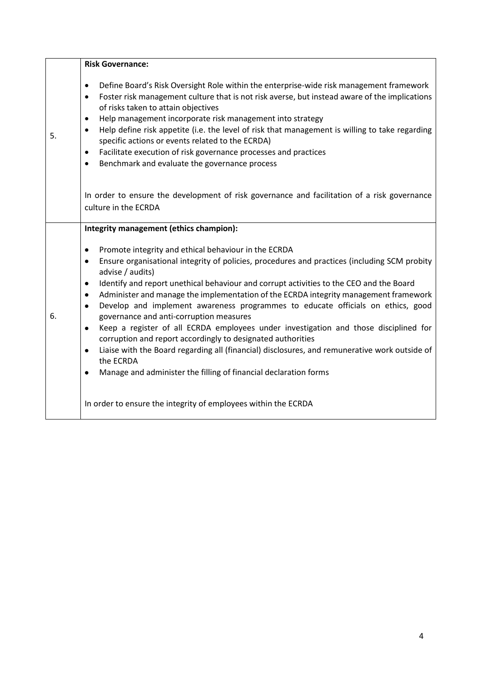|    | <b>Risk Governance:</b>                                                                                                                                                                                                                                                                                                                                                                                                                                                                                                                                                                                                                                                                                                                                                                                                                                                                                                                                                                                      |
|----|--------------------------------------------------------------------------------------------------------------------------------------------------------------------------------------------------------------------------------------------------------------------------------------------------------------------------------------------------------------------------------------------------------------------------------------------------------------------------------------------------------------------------------------------------------------------------------------------------------------------------------------------------------------------------------------------------------------------------------------------------------------------------------------------------------------------------------------------------------------------------------------------------------------------------------------------------------------------------------------------------------------|
| 5. | Define Board's Risk Oversight Role within the enterprise-wide risk management framework<br>$\bullet$<br>Foster risk management culture that is not risk averse, but instead aware of the implications<br>$\bullet$<br>of risks taken to attain objectives<br>Help management incorporate risk management into strategy<br>$\bullet$<br>Help define risk appetite (i.e. the level of risk that management is willing to take regarding<br>$\bullet$<br>specific actions or events related to the ECRDA)<br>Facilitate execution of risk governance processes and practices<br>$\bullet$<br>Benchmark and evaluate the governance process<br>$\bullet$<br>In order to ensure the development of risk governance and facilitation of a risk governance<br>culture in the ECRDA                                                                                                                                                                                                                                  |
|    | Integrity management (ethics champion):                                                                                                                                                                                                                                                                                                                                                                                                                                                                                                                                                                                                                                                                                                                                                                                                                                                                                                                                                                      |
| 6. | Promote integrity and ethical behaviour in the ECRDA<br>$\bullet$<br>Ensure organisational integrity of policies, procedures and practices (including SCM probity<br>$\bullet$<br>advise / audits)<br>Identify and report unethical behaviour and corrupt activities to the CEO and the Board<br>$\bullet$<br>Administer and manage the implementation of the ECRDA integrity management framework<br>$\bullet$<br>Develop and implement awareness programmes to educate officials on ethics, good<br>$\bullet$<br>governance and anti-corruption measures<br>Keep a register of all ECRDA employees under investigation and those disciplined for<br>$\bullet$<br>corruption and report accordingly to designated authorities<br>Liaise with the Board regarding all (financial) disclosures, and remunerative work outside of<br>$\bullet$<br>the ECRDA<br>Manage and administer the filling of financial declaration forms<br>$\bullet$<br>In order to ensure the integrity of employees within the ECRDA |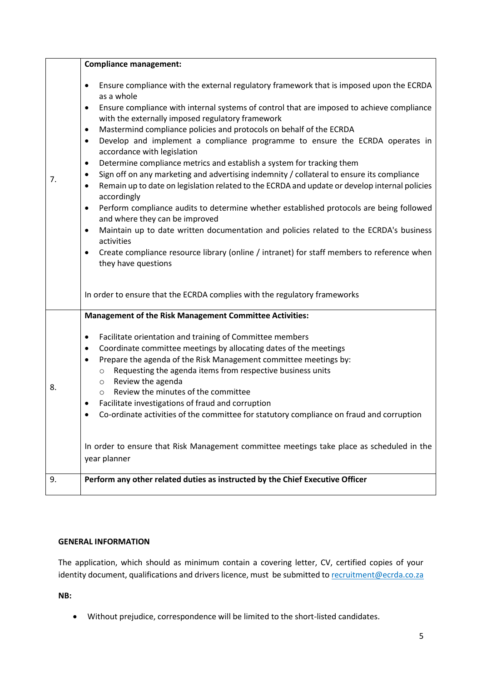|    | <b>Compliance management:</b>                                                                                                                                                                                                                                                                                                                                                                                                                                                                                                                                                                                                                                                                                                                                                                                                                                                                         |
|----|-------------------------------------------------------------------------------------------------------------------------------------------------------------------------------------------------------------------------------------------------------------------------------------------------------------------------------------------------------------------------------------------------------------------------------------------------------------------------------------------------------------------------------------------------------------------------------------------------------------------------------------------------------------------------------------------------------------------------------------------------------------------------------------------------------------------------------------------------------------------------------------------------------|
| 7. | Ensure compliance with the external regulatory framework that is imposed upon the ECRDA<br>$\bullet$<br>as a whole<br>Ensure compliance with internal systems of control that are imposed to achieve compliance<br>$\bullet$<br>with the externally imposed regulatory framework<br>Mastermind compliance policies and protocols on behalf of the ECRDA<br>٠<br>Develop and implement a compliance programme to ensure the ECRDA operates in<br>$\bullet$<br>accordance with legislation<br>Determine compliance metrics and establish a system for tracking them<br>٠<br>Sign off on any marketing and advertising indemnity / collateral to ensure its compliance<br>٠<br>Remain up to date on legislation related to the ECRDA and update or develop internal policies<br>$\bullet$<br>accordingly<br>Perform compliance audits to determine whether established protocols are being followed<br>٠ |
|    | and where they can be improved<br>Maintain up to date written documentation and policies related to the ECRDA's business<br>$\bullet$                                                                                                                                                                                                                                                                                                                                                                                                                                                                                                                                                                                                                                                                                                                                                                 |
|    | activities                                                                                                                                                                                                                                                                                                                                                                                                                                                                                                                                                                                                                                                                                                                                                                                                                                                                                            |
|    | Create compliance resource library (online / intranet) for staff members to reference when<br>$\bullet$<br>they have questions                                                                                                                                                                                                                                                                                                                                                                                                                                                                                                                                                                                                                                                                                                                                                                        |
|    | In order to ensure that the ECRDA complies with the regulatory frameworks                                                                                                                                                                                                                                                                                                                                                                                                                                                                                                                                                                                                                                                                                                                                                                                                                             |
|    |                                                                                                                                                                                                                                                                                                                                                                                                                                                                                                                                                                                                                                                                                                                                                                                                                                                                                                       |
|    | <b>Management of the Risk Management Committee Activities:</b>                                                                                                                                                                                                                                                                                                                                                                                                                                                                                                                                                                                                                                                                                                                                                                                                                                        |
|    | Facilitate orientation and training of Committee members<br>$\bullet$                                                                                                                                                                                                                                                                                                                                                                                                                                                                                                                                                                                                                                                                                                                                                                                                                                 |
|    | Coordinate committee meetings by allocating dates of the meetings<br>٠                                                                                                                                                                                                                                                                                                                                                                                                                                                                                                                                                                                                                                                                                                                                                                                                                                |
|    | Prepare the agenda of the Risk Management committee meetings by:<br>$\bullet$<br>Requesting the agenda items from respective business units<br>$\circ$                                                                                                                                                                                                                                                                                                                                                                                                                                                                                                                                                                                                                                                                                                                                                |
|    | Review the agenda<br>$\circ$                                                                                                                                                                                                                                                                                                                                                                                                                                                                                                                                                                                                                                                                                                                                                                                                                                                                          |
| 8. | Review the minutes of the committee<br>$\circ$                                                                                                                                                                                                                                                                                                                                                                                                                                                                                                                                                                                                                                                                                                                                                                                                                                                        |
|    | Facilitate investigations of fraud and corruption                                                                                                                                                                                                                                                                                                                                                                                                                                                                                                                                                                                                                                                                                                                                                                                                                                                     |
|    | Co-ordinate activities of the committee for statutory compliance on fraud and corruption                                                                                                                                                                                                                                                                                                                                                                                                                                                                                                                                                                                                                                                                                                                                                                                                              |
|    | In order to ensure that Risk Management committee meetings take place as scheduled in the<br>year planner                                                                                                                                                                                                                                                                                                                                                                                                                                                                                                                                                                                                                                                                                                                                                                                             |
| 9. | Perform any other related duties as instructed by the Chief Executive Officer                                                                                                                                                                                                                                                                                                                                                                                                                                                                                                                                                                                                                                                                                                                                                                                                                         |

# **GENERAL INFORMATION**

The application, which should as minimum contain a covering letter, CV, certified copies of your identity document, qualifications and drivers licence, must be submitted t[o recruitment@ecrda.co.za](mailto:recruitment@ecrda.co.za)

**NB:** 

• Without prejudice, correspondence will be limited to the short-listed candidates.